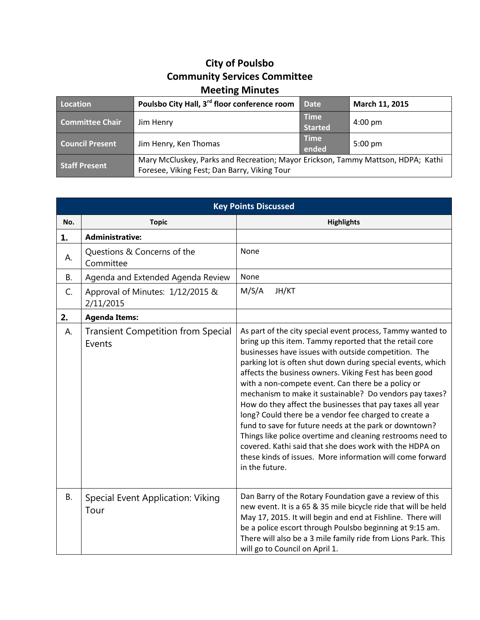## **City of Poulsbo Community Services Committee Meeting Minutes**

| Location               | Poulsbo City Hall, 3 <sup>rd</sup> floor conference room                                                                         | <b>Date</b>                   | March 11, 2015    |
|------------------------|----------------------------------------------------------------------------------------------------------------------------------|-------------------------------|-------------------|
| <b>Committee Chair</b> | Jim Henry                                                                                                                        | <b>Time</b><br><b>Started</b> | $4:00 \text{ pm}$ |
| <b>Council Present</b> | Jim Henry, Ken Thomas                                                                                                            | <b>Time</b><br>ended          | $5:00 \text{ pm}$ |
| <b>Staff Present</b>   | Mary McCluskey, Parks and Recreation; Mayor Erickson, Tammy Mattson, HDPA; Kathi<br>Foresee, Viking Fest; Dan Barry, Viking Tour |                               |                   |

| <b>Key Points Discussed</b> |                                                     |                                                                                                                                                                                                                                                                                                                                                                                                                                                                                                                                                                                                                                                                                                                                                                                                                 |  |  |
|-----------------------------|-----------------------------------------------------|-----------------------------------------------------------------------------------------------------------------------------------------------------------------------------------------------------------------------------------------------------------------------------------------------------------------------------------------------------------------------------------------------------------------------------------------------------------------------------------------------------------------------------------------------------------------------------------------------------------------------------------------------------------------------------------------------------------------------------------------------------------------------------------------------------------------|--|--|
| No.                         | <b>Topic</b>                                        | <b>Highlights</b>                                                                                                                                                                                                                                                                                                                                                                                                                                                                                                                                                                                                                                                                                                                                                                                               |  |  |
| 1.                          | <b>Administrative:</b>                              |                                                                                                                                                                                                                                                                                                                                                                                                                                                                                                                                                                                                                                                                                                                                                                                                                 |  |  |
| А.                          | Questions & Concerns of the<br>Committee            | None                                                                                                                                                                                                                                                                                                                                                                                                                                                                                                                                                                                                                                                                                                                                                                                                            |  |  |
| В.                          | Agenda and Extended Agenda Review                   | None                                                                                                                                                                                                                                                                                                                                                                                                                                                                                                                                                                                                                                                                                                                                                                                                            |  |  |
| C.                          | Approval of Minutes: 1/12/2015 &<br>2/11/2015       | M/S/A<br>JH/KT                                                                                                                                                                                                                                                                                                                                                                                                                                                                                                                                                                                                                                                                                                                                                                                                  |  |  |
| 2.                          | <b>Agenda Items:</b>                                |                                                                                                                                                                                                                                                                                                                                                                                                                                                                                                                                                                                                                                                                                                                                                                                                                 |  |  |
| А.                          | <b>Transient Competition from Special</b><br>Events | As part of the city special event process, Tammy wanted to<br>bring up this item. Tammy reported that the retail core<br>businesses have issues with outside competition. The<br>parking lot is often shut down during special events, which<br>affects the business owners. Viking Fest has been good<br>with a non-compete event. Can there be a policy or<br>mechanism to make it sustainable? Do vendors pay taxes?<br>How do they affect the businesses that pay taxes all year<br>long? Could there be a vendor fee charged to create a<br>fund to save for future needs at the park or downtown?<br>Things like police overtime and cleaning restrooms need to<br>covered. Kathi said that she does work with the HDPA on<br>these kinds of issues. More information will come forward<br>in the future. |  |  |
| <b>B.</b>                   | Special Event Application: Viking<br>Tour           | Dan Barry of the Rotary Foundation gave a review of this<br>new event. It is a 65 & 35 mile bicycle ride that will be held<br>May 17, 2015. It will begin and end at Fishline. There will<br>be a police escort through Poulsbo beginning at 9:15 am.<br>There will also be a 3 mile family ride from Lions Park. This<br>will go to Council on April 1.                                                                                                                                                                                                                                                                                                                                                                                                                                                        |  |  |